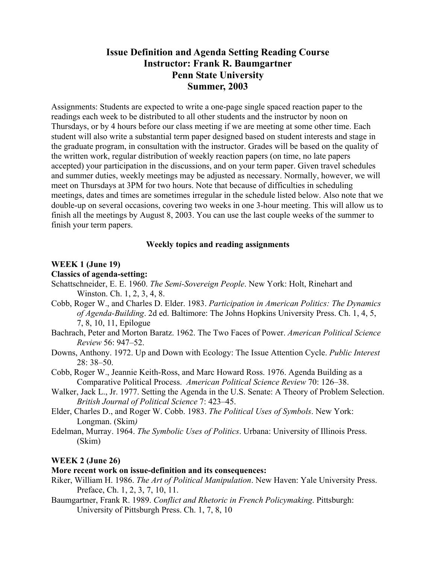# **Issue Definition and Agenda Setting Reading Course Instructor: Frank R. Baumgartner Penn State University Summer, 2003**

Assignments: Students are expected to write a one-page single spaced reaction paper to the readings each week to be distributed to all other students and the instructor by noon on Thursdays, or by 4 hours before our class meeting if we are meeting at some other time. Each student will also write a substantial term paper designed based on student interests and stage in the graduate program, in consultation with the instructor. Grades will be based on the quality of the written work, regular distribution of weekly reaction papers (on time, no late papers accepted) your participation in the discussions, and on your term paper. Given travel schedules and summer duties, weekly meetings may be adjusted as necessary. Normally, however, we will meet on Thursdays at 3PM for two hours. Note that because of difficulties in scheduling meetings, dates and times are sometimes irregular in the schedule listed below. Also note that we double-up on several occasions, covering two weeks in one 3-hour meeting. This will allow us to finish all the meetings by August 8, 2003. You can use the last couple weeks of the summer to finish your term papers.

#### **Weekly topics and reading assignments**

#### **WEEK 1 (June 19)**

#### **Classics of agenda-setting:**

- Schattschneider, E. E. 1960. *The Semi-Sovereign People*. New York: Holt, Rinehart and Winston. Ch. 1, 2, 3, 4, 8.
- Cobb, Roger W., and Charles D. Elder. 1983. *Participation in American Politics: The Dynamics of Agenda-Building*. 2d ed. Baltimore: The Johns Hopkins University Press. Ch. 1, 4, 5, 7, 8, 10, 11, Epilogue
- Bachrach, Peter and Morton Baratz. 1962. The Two Faces of Power. *American Political Science Review* 56: 947–52.
- Downs, Anthony. 1972. Up and Down with Ecology: The Issue Attention Cycle. *Public Interest* 28: 38–50.
- Cobb, Roger W., Jeannie Keith-Ross, and Marc Howard Ross. 1976. Agenda Building as a Comparative Political Process. *American Political Science Review* 70: 126–38.
- Walker, Jack L., Jr. 1977. Setting the Agenda in the U.S. Senate: A Theory of Problem Selection. *British Journal of Political Science* 7: 423–45.
- Elder, Charles D., and Roger W. Cobb. 1983. *The Political Uses of Symbols*. New York: Longman. (Skim*)*
- Edelman, Murray. 1964. *The Symbolic Uses of Politics*. Urbana: University of Illinois Press. (Skim)

#### **WEEK 2 (June 26)**

## **More recent work on issue-definition and its consequences:**

- Riker, William H. 1986. *The Art of Political Manipulation*. New Haven: Yale University Press. Preface, Ch. 1, 2, 3, 7, 10, 11.
- Baumgartner, Frank R. 1989. *Conflict and Rhetoric in French Policymaking*. Pittsburgh: University of Pittsburgh Press. Ch. 1, 7, 8, 10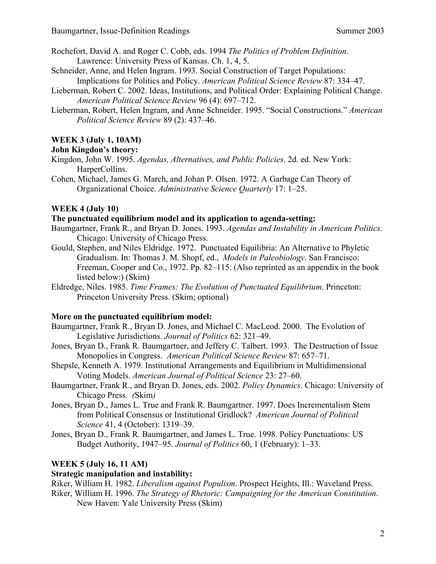- Rochefort, David A. and Roger C. Cobb, eds. 1994 *The Politics of Problem Definition*. Lawrence: University Press of Kansas. Ch. 1, 4, 5.
- Schneider, Anne, and Helen Ingram. 1993. Social Construction of Target Populations: Implications for Politics and Policy. *American Political Science Review* 87: 334–47.
- Lieberman, Robert C. 2002. Ideas, Institutions, and Political Order: Explaining Political Change. *American Political Science Review* 96 (4): 697–712.
- Lieberman, Robert, Helen Ingram, and Anne Schneider. 1995. "Social Constructions." *American Political Science Review* 89 (2): 437–46.

## **WEEK 3 (July 1, 10AM)**

# **John Kingdon's theory:**

- Kingdon, John W. 1995. *Agendas, Alternatives, and Public Policies*. 2d. ed. New York: HarperCollins.
- Cohen, Michael, James G. March, and Johan P. Olsen. 1972. A Garbage Can Theory of Organizational Choice. *Administrative Science Quarterly* 17: 1–25.

# **WEEK 4 (July 10)**

#### **The punctuated equilibrium model and its application to agenda-setting:**

- Baumgartner, Frank R., and Bryan D. Jones. 1993. *Agendas and Instability in American Politics*. Chicago: University of Chicago Press.
- Gould, Stephen, and Niles Eldridge. 1972. Punctuated Equilibria: An Alternative to Phyletic Gradualism. In: Thomas J. M. Shopf, ed., *Models in Paleobiology*. San Francisco: Freeman, Cooper and Co., 1972. Pp. 82–115. (Also reprinted as an appendix in the book listed below:) (Skim)
- Eldredge, Niles. 1985. *Time Frames: The Evolution of Punctuated Equilibrium*. Princeton: Princeton University Press. (Skim; optional)

## **More on the punctuated equilibrium model:**

- Baumgartner, Frank R., Bryan D. Jones, and Michael C. MacLeod. 2000. The Evolution of Legislative Jurisdictions. *Journal of Politics* 62: 321–49.
- Jones, Bryan D., Frank R. Baumgartner, and Jeffery C. Talbert. 1993. The Destruction of Issue Monopolies in Congress. *American Political Science Review* 87: 657–71.
- Shepsle, Kenneth A. 1979. Institutional Arrangements and Equilibrium in Multidimensional Voting Models. *American Journal of Political Science* 23: 27–60.
- Baumgartner, Frank R., and Bryan D. Jones, eds. 2002. *Policy Dynamics*. Chicago: University of Chicago Press. *(*Skim*)*
- Jones, Bryan D., James L. True and Frank R. Baumgartner. 1997. Does Incrementalism Stem from Political Consensus or Institutional Gridlock? *American Journal of Political Science* 41, 4 (October): 1319–39.
- Jones, Bryan D., Frank R. Baumgartner, and James L. True. 1998. Policy Punctuations: US Budget Authority, 1947–95. *Journal of Politics* 60, 1 (February): 1–33.

## **WEEK 5 (July 16, 11 AM)**

## **Strategic manipulation and instability:**

Riker, William H. 1982. *Liberalism against Populism*. Prospect Heights, Ill.: Waveland Press.

Riker, William H. 1996. *The Strategy of Rhetoric: Campaigning for the American Constitution*. New Haven: Yale University Press (Skim)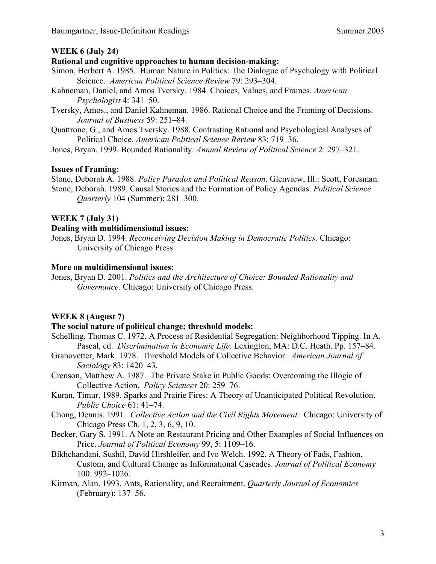# **WEEK 6 (July 24)**

# **Rational and cognitive approaches to human decision-making:**

- Simon, Herbert A. 1985. Human Nature in Politics: The Dialogue of Psychology with Political Science. *American Political Science Review* 79: 293–304.
- Kahneman, Daniel, and Amos Tversky. 1984. Choices, Values, and Frames. *American Psychologist* 4: 341–50.
- Tversky, Amos., and Daniel Kahneman. 1986. Rational Choice and the Framing of Decisions. *Journal of Business* 59: 251–84.
- Quattrone, G., and Amos Tversky. 1988. Contrasting Rational and Psychological Analyses of Political Choice*. American Political Science Review* 83: 719–36.

Jones, Bryan. 1999. Bounded Rationality. *Annual Review of Political Science* 2: 297–321.

## **Issues of Framing:**

Stone, Deborah A. 1988. *Policy Paradox and Political Reason*. Glenview, Ill.: Scott, Foresman. Stone, Deborah. 1989. Causal Stories and the Formation of Policy Agendas. *Political Science Quarterly* 104 (Summer): 281–300.

## **WEEK 7 (July 31)**

# **Dealing with multidimensional issues:**

Jones, Bryan D. 1994. *Reconceiving Decision Making in Democratic Politics.* Chicago: University of Chicago Press.

## **More on multidimensional issues:**

Jones, Bryan D. 2001. *Politics and the Architecture of Choice: Bounded Rationality and Governance.* Chicago: University of Chicago Press.

## **WEEK 8 (August 7)**

## **The social nature of political change; threshold models:**

- Schelling, Thomas C. 1972. A Process of Residential Segregation: Neighborhood Tipping. In A. Pascal, ed. *Discrimination in Economic Life*. Lexington, MA: D.C. Heath. Pp. 157–84.
- Granovetter, Mark. 1978. Threshold Models of Collective Behavior. *American Journal of Sociology* 83: 1420–43.
- Crenson, Matthew A. 1987. The Private Stake in Public Goods: Overcoming the Illogic of Collective Action. *Policy Sciences* 20: 259–76.
- Kuran, Timur. 1989. Sparks and Prairie Fires: A Theory of Unanticipated Political Revolution. *Public Choice* 61: 41–74.
- Chong, Dennis. 1991. *Collective Action and the Civil Rights Movement.* Chicago: University of Chicago Press Ch. 1, 2, 3, 6, 9, 10.
- Becker, Gary S. 1991. A Note on Restaurant Pricing and Other Examples of Social Influences on Price. *Journal of Political Economy* 99, 5: 1109–16.
- Bikhchandani, Sushil, David Hirshleifer, and Ivo Welch. 1992. A Theory of Fads, Fashion, Custom, and Cultural Change as Informational Cascades. *Journal of Political Economy* 100: 992–1026.
- Kirman, Alan. 1993. Ants, Rationality, and Recruitment. *Quarterly Journal of Economics*  (February): 137–56.